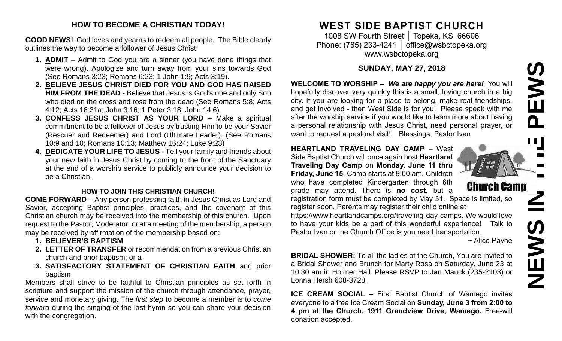### **HOW TO BECOME A CHRISTIAN TODAY!**

**GOOD NEWS!** God loves and yearns to redeem all people. The Bible clearly outlines the way to become a follower of Jesus Christ:

- **1. ADMIT** Admit to God you are a sinner (you have done things that were wrong). Apologize and turn away from your sins towards God (See Romans 3:23; Romans 6:23; 1 John 1:9; Acts 3:19).
- **2. BELIEVE JESUS CHRIST DIED FOR YOU AND GOD HAS RAISED HIM FROM THE DEAD -** Believe that Jesus is God's one and only Son who died on the cross and rose from the dead (See Romans 5:8; Acts 4:12; Acts 16:31a; John 3:16; 1 Peter 3:18; John 14:6).
- **3. CONFESS JESUS CHRIST AS YOUR LORD –** Make a spiritual commitment to be a follower of Jesus by trusting Him to be your Savior (Rescuer and Redeemer) and Lord (Ultimate Leader). (See Romans 10:9 and 10; Romans 10:13; Matthew 16:24; Luke 9:23)
- **4. DEDICATE YOUR LIFE TO JESUS -** Tell your family and friends about your new faith in Jesus Christ by coming to the front of the Sanctuary at the end of a worship service to publicly announce your decision to be a Christian.

### **HOW TO JOIN THIS CHRISTIAN CHURCH!**

**COME FORWARD** – Any person professing faith in Jesus Christ as Lord and Savior, accepting Baptist principles, practices, and the covenant of this Christian church may be received into the membership of this church. Upon request to the Pastor, Moderator, or at a meeting of the membership, a person may be received by affirmation of the membership based on:

- **1. BELIEVER'S BAPTISM**
- **2. LETTER OF TRANSFER** or recommendation from a previous Christian church and prior baptism; or a
- **3. SATISFACTORY STATEMENT OF CHRISTIAN FAITH** and prior baptism

Members shall strive to be faithful to Christian principles as set forth in scripture and support the mission of the church through attendance, prayer, service and monetary giving. The *first step* to become a member is to *come forward* during the singing of the last hymn so you can share your decision with the congregation.

# **WEST SIDE BAPTIST CHURCH**

1008 SW Fourth Street │ Topeka, KS 66606 Phone: (785) 233-4241 | [office@wsbctopeka.org](mailto:office@wsbctopeka.org) [www.wsbctopeka.org](http://www.wsbctopeka.org/)

## **SUNDAY, MAY 27, 2018**

**WELCOME TO WORSHIP –** *We are happy you are here!* You will hopefully discover very quickly this is a small, loving church in a big city. If you are looking for a place to belong, make real friendships, and get involved - then West Side is for you! Please speak with me after the worship service if you would like to learn more about having a personal relationship with Jesus Christ, need personal prayer, or want to request a pastoral visit! Blessings, Pastor Ivan

#### **HEARTLAND TRAVELING DAY CAMP** – West Side Baptist Church will once again host **Heartland Traveling Day Camp** on **Monday, June 11 thru**

**Friday, June 15**. Camp starts at 9:00 am. Children who have completed Kindergarten through 6th grade may attend. There is **no cost,** but a

registration form must be completed by May 31. Space is limited, so register soon. Parents may register their child online at

[https://www.heartlandcamps.org/traveling-day-camps.](https://www.heartlandcamps.org/traveling-day-camps) We would love to have your kids be a part of this wonderful experience! Talk to Pastor Ivan or the Church Office is you need transportation.

~ Alice Payne

**BRIDAL SHOWER:** To all the ladies of the Church, You are invited to a Bridal Shower and Brunch for Marty Rosa on Saturday, June 23 at 10:30 am in Holmer Hall. Please RSVP to Jan Mauck (235-2103) or Lonna Hersh 608-3728.

**ICE CREAM SOCIAL –** First Baptist Church of Wamego invites everyone to a free Ice Cream Social on **Sunday, June 3 from 2:00 to 4 pm at the Church, 1911 Grandview Drive, Wamego.** Free-will donation accepted.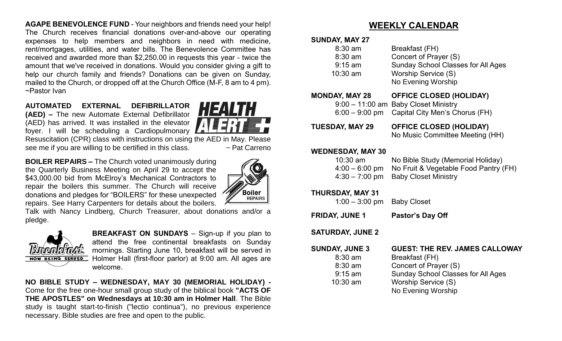**AGAPE BENEVOLENCE FUND** - Your neighbors and friends need your help! The Church receives financial donations over-and-above our operating expenses to help members and neighbors in need with medicine, rent/mortgages, utilities, and water bills. The Benevolence Committee has received and awarded more than \$2,250.00 in requests this year - twice the amount that we've received in donations. Would you consider giving a gift to help our church family and friends? Donations can be given on Sunday, mailed to the Church, or dropped off at the Church Office (M-F, 8 am to 4 pm). ~Pastor Ivan

# **AUTOMATED EXTERNAL DEFIBRILLATOR**

**(AED) –** The new Automate External Defibrillator (AED) has arrived. It was installed in the elevator foyer. I will be scheduling a Cardiopulmonary Resuscitation (CPR) class with instructions on using the AED in May. Please

**HEALTH** 

see me if you are willing to be certified in this class.  $\sim$  Pat Carreno

**BOILER REPAIRS –** The Church voted unanimously during the Quarterly Business Meeting on April 29 to accept the \$43,000.00 bid from McElroy's Mechanical Contractors to repair the boilers this summer. The Church will receive donations and pledges for "BOILERS" for these unexpected repairs. See Harry Carpenters for details about the boilers.



Talk with Nancy Lindberg, Church Treasurer, about donations and/or a pledge.



**BREAKFAST ON SUNDAYS** – Sign-up if you plan to attend the free continental breakfasts on Sunday mornings. Starting June 10, breakfast will be served in Holmer Hall (first-floor parlor) at 9:00 am. All ages are welcome.

**NO BIBLE STUDY – WEDNESDAY, MAY 30 (MEMORIAL HOLIDAY) -** Come for the free one-hour small group study of the biblical book **"ACTS OF THE APOSTLES" on Wednesdays at 10:30 am in Holmer Hall**. The Bible study is taught start-to-finish ("lectio continua"), no previous experience necessary. Bible studies are free and open to the public.

# **WEEKLY CALENDAR**

#### **SUNDAY, MAY 27**

| $8:30$ am<br>$8:30$ am<br>$9:15$ am<br>$10:30$ am | Breakfast (FH)<br>Concert of Prayer (S)<br><b>Sunday School Classes for All Ages</b><br>Worship Service (S)<br>No Evening Worship |
|---------------------------------------------------|-----------------------------------------------------------------------------------------------------------------------------------|
| <b>MONDAY, MAY 28</b>                             | <b>OFFICE CLOSED (HOLIDAY)</b>                                                                                                    |
|                                                   | 9:00 - 11:00 am Baby Closet Ministry                                                                                              |
|                                                   | $6:00 - 9:00$ pm Capital City Men's Chorus (FH)                                                                                   |

**TUESDAY, MAY 29 OFFICE CLOSED (HOLIDAY)** No Music Committee Meeting (HH)

#### **WEDNESDAY, MAY 30**

| $10:30$ am | No Bible Study (Memorial Holiday)                      |
|------------|--------------------------------------------------------|
|            | $4:00 - 6:00$ pm No Fruit & Vegetable Food Pantry (FH) |
|            | $4:30 - 7:00$ pm Baby Closet Ministry                  |

#### **THURSDAY, MAY 31**

1:00 – 3:00 pm Baby Closet

**FRIDAY, JUNE 1 Pastor's Day Off** 

#### **SATURDAY, JUNE 2**

| <b>SUNDAY, JUNE 3</b> | <b>GUEST: THE REV. JAMES CALLOWAY</b>     |
|-----------------------|-------------------------------------------|
| $8:30$ am             | Breakfast (FH)                            |
| $8:30$ am             | Concert of Prayer (S)                     |
| $9:15$ am             | <b>Sunday School Classes for All Ages</b> |
| $10:30$ am            | Worship Service (S)                       |
|                       | No Evening Worship                        |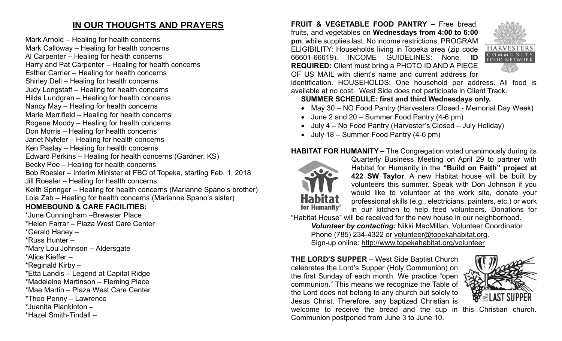# **IN OUR THOUGHTS AND PRAYERS**

Mark Arnold – Healing for health concerns Mark Calloway – Healing for health concerns Al Carpenter – Healing for health concerns Harry and Pat Carpenter – Healing for health concerns Esther Carrier – Healing for health concerns Shirley Dell – Healing for health concerns Judy Longstaff – Healing for health concerns Hilda Lundgren – Healing for health concerns Nancy May – Healing for health concerns Marie Merrifield – Healing for health concerns Rogene Moody – Healing for health concerns Don Morris – Healing for health concerns Janet Nyfeler – Healing for health concerns Ken Paslay – Healing for health concerns Edward Perkins – Healing for health concerns (Gardner, KS) Becky Poe – Healing for health concerns Bob Roesler – Interim Minister at FBC of Topeka, starting Feb. 1, 2018 Jill Roesler – Healing for health concerns Keith Springer – Healing for health concerns (Marianne Spano's brother) Lola Zab – Healing for health concerns (Marianne Spano's sister) **HOMEBOUND & CARE FACILITIES:**

\*June Cunningham –Brewster Place \*Helen Farrar – Plaza West Care Center \*Gerald Haney – \*Russ Hunter – \*Mary Lou Johnson – Aldersgate \*Alice Kieffer – \*Reginald Kirby – \*Etta Landis – Legend at Capital Ridge \*Madeleine Martinson – Fleming Place \*Mae Martin – Plaza West Care Center \*Theo Penny – Lawrence \*Juanita Plankinton – \*Hazel Smith-Tindall –

**FRUIT & VEGETABLE FOOD PANTRY –** Free bread, fruits, and vegetables on **Wednesdays from 4:00 to 6:00 pm**, while supplies last. No income restrictions. PROGRAM ELIGIBILITY: Households living in Topeka area (zip code 66601-66619). INCOME GUIDELINES: None. **ID REQUIRED:** Client must bring a PHOTO ID AND A PIECE OF US MAIL with client's name and current address for



identification. HOUSEHOLDS: One household per address. All food is available at no cost. West Side does not participate in Client Track.

### **SUMMER SCHEDULE: first and third Wednesdays only.**

- May 30 NO Food Pantry (Harvesters Closed Memorial Day Week)
- June 2 and 20 Summer Food Pantry (4-6 pm)
- July 4 No Food Pantry (Harvester's Closed July Holiday)
- July 18 Summer Food Pantry (4-6 pm)

### **HABITAT FOR HUMANITY –** The Congregation voted unanimously during its



Quarterly Business Meeting on April 29 to partner with Habitat for Humanity in the **"Build on Faith" project at 422 SW Taylor**. A new Habitat house will be built by volunteers this summer. Speak with Don Johnson if you would like to volunteer at the work site, donate your professional skills (e.g., electricians, painters, etc.) or work in our kitchen to help feed volunteers. Donations for

"Habitat House" will be received for the new house in our neighborhood.

*Volunteer by contacting:* Nikki MacMillan, Volunteer Coordinator Phone (785) 234-4322 or [volunteer@topekahabitat.org.](mailto:volunteer@topekahabitat.org) Sign-up online:<http://www.topekahabitat.org/volunteer>

**THE LORD'S SUPPER** – West Side Baptist Church celebrates the Lord's Supper (Holy Communion) on the first Sunday of each month. We practice "open communion." This means we recognize the Table of the Lord does not belong to any church but solely to Jesus Christ. Therefore, any baptized Christian is welcome to receive the bread and the cup in this Christian church. Communion postponed from June 3 to June 10.